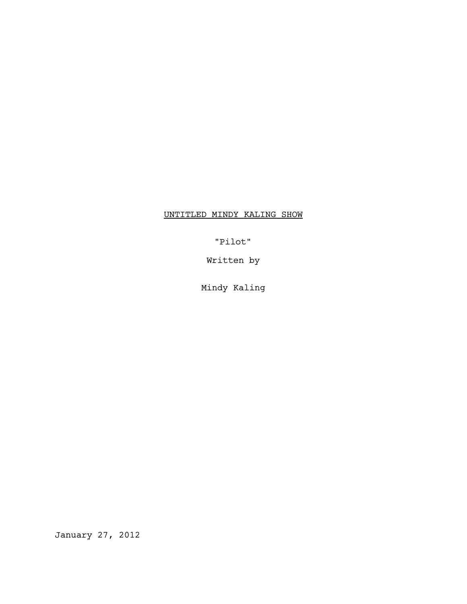UNTITLED MINDY KALING SHOW

"Pilot"

Written by

Mindy Kaling

January 27, 2012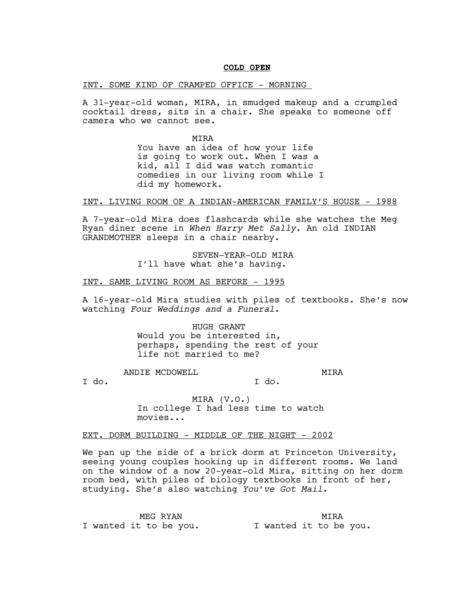### **COLD OPEN**

INT. SOME KIND OF CRAMPED OFFICE - MORNING

A 31-year-old woman, MIRA, in smudged makeup and a crumpled cocktail dress, sits in a chair. She speaks to someone off camera who we cannot see.

> MIRA You have an idea of how your life is going to work out. When I was a kid, all I did was watch romantic comedies in our living room while I did my homework.

INT. LIVING ROOM OF A INDIAN-AMERICAN FAMILY'S HOUSE - 1988

A 7-year-old Mira does flashcards while she watches the Meg Ryan diner scene in *When Harry Met Sally*. An old INDIAN GRANDMOTHER sleeps in a chair nearby.

> SEVEN-YEAR-OLD MIRA I'll have what she's having.

#### INT. SAME LIVING ROOM AS BEFORE - 1995

A 16-year-old Mira studies with piles of textbooks. She's now watching *Four Weddings and a Funeral.* 

> HUGH GRANT Would you be interested in, perhaps, spending the rest of your life not married to me?

ANDIE MCDOWELL

MIRA

I do.

I do.

MIRA (V.O.) In college I had less time to watch movies...

EXT. DORM BUILDING - MIDDLE OF THE NIGHT - 2002

We pan up the side of a brick dorm at Princeton University, seeing young couples hooking up in different rooms. We land on the window of a now 20-year-old Mira, sitting on her dorm room bed, with piles of biology textbooks in front of her, studying. She's also watching *You've Got Mail.* 

|                        | MEG RYAN | MTRA                   |
|------------------------|----------|------------------------|
| I wanted it to be you. |          | I wanted it to be you. |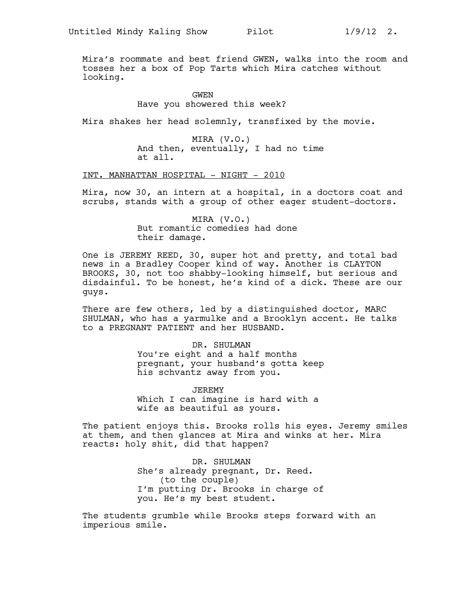Mira's roommate and best friend GWEN, walks into the room and tosses her a box of Pop Tarts which Mira catches without looking.

# GWEN Have you showered this week?

Mira shakes her head solemnly, transfixed by the movie.

MIRA (V.O.) And then, eventually, I had no time at all.

### INT. MANHATTAN HOSPITAL - NIGHT - 2010

Mira, now 30, an intern at a hospital, in a doctors coat and scrubs, stands with a group of other eager student-doctors.

> MIRA (V.O.) But romantic comedies had done their damage.

One is JEREMY REED, 30, super hot and pretty, and total bad news in a Bradley Cooper kind of way. Another is CLAYTON BROOKS, 30, not too shabby-looking himself, but serious and disdainful. To be honest, he's kind of a dick. These are our guys.

There are few others, led by a distinguished doctor, MARC SHULMAN, who has a yarmulke and a Brooklyn accent. He talks to a PREGNANT PATIENT and her HUSBAND.

> DR. SHULMAN You're eight and a half months pregnant, your husband's gotta keep his schvantz away from you.

JEREMY Which I can imagine is hard with a wife as beautiful as yours.

The patient enjoys this. Brooks rolls his eyes. Jeremy smiles at them, and then glances at Mira and winks at her. Mira reacts: holy shit, did that happen?

> DR. SHULMAN She's already pregnant, Dr. Reed. (to the couple) I'm putting Dr. Brooks in charge of you. He's my best student.

The students grumble while Brooks steps forward with an imperious smile.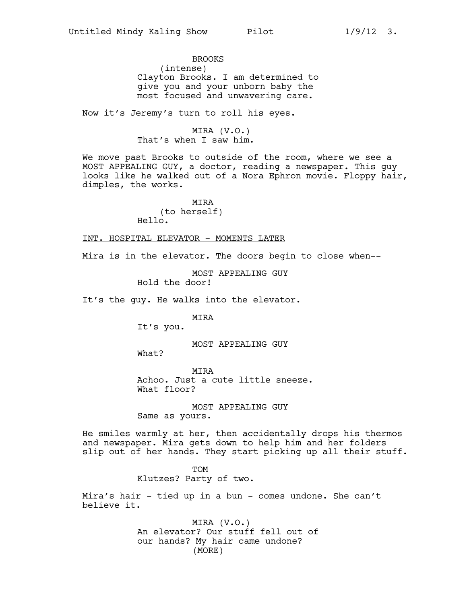**BROOKS** (intense) Clayton Brooks. I am determined to give you and your unborn baby the most focused and unwavering care.

Now it's Jeremy's turn to roll his eyes.

# MIRA (V.O.) That's when I saw him.

We move past Brooks to outside of the room, where we see a MOST APPEALING GUY, a doctor, reading a newspaper. This guy looks like he walked out of a Nora Ephron movie. Floppy hair, dimples, the works.

> MIRA (to herself) Hello.

INT. HOSPITAL ELEVATOR - MOMENTS LATER

Mira is in the elevator. The doors begin to close when--

MOST APPEALING GUY Hold the door!

It's the guy. He walks into the elevator.

MIRA

It's you.

MOST APPEALING GUY

What?

MIRA Achoo. Just a cute little sneeze. What floor?

MOST APPEALING GUY Same as yours.

He smiles warmly at her, then accidentally drops his thermos and newspaper. Mira gets down to help him and her folders slip out of her hands. They start picking up all their stuff.

> TOM Klutzes? Party of two.

Mira's hair - tied up in a bun - comes undone. She can't believe it.

> MIRA (V.O.) An elevator? Our stuff fell out of our hands? My hair came undone? (MORE)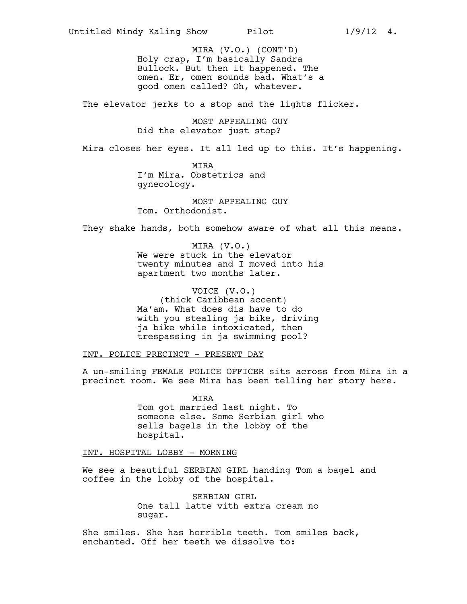Holy crap, I'm basically Sandra Bullock. But then it happened. The omen. Er, omen sounds bad. What's a good omen called? Oh, whatever. MIRA (V.O.) (CONT'D)

The elevator jerks to a stop and the lights flicker.

MOST APPEALING GUY Did the elevator just stop?

Mira closes her eyes. It all led up to this. It's happening.

MIRA I'm Mira. Obstetrics and gynecology.

MOST APPEALING GUY Tom. Orthodonist.

They shake hands, both somehow aware of what all this means.

MIRA (V.O.) We were stuck in the elevator twenty minutes and I moved into his apartment two months later.

VOICE (V.O.) (thick Caribbean accent) Ma'am. What does dis have to do with you stealing ja bike, driving ja bike while intoxicated, then trespassing in ja swimming pool?

INT. POLICE PRECINCT - PRESENT DAY

A un-smiling FEMALE POLICE OFFICER sits across from Mira in a precinct room. We see Mira has been telling her story here.

> MIRA Tom got married last night. To someone else. Some Serbian girl who sells bagels in the lobby of the hospital.

INT. HOSPITAL LOBBY - MORNING

We see a beautiful SERBIAN GIRL handing Tom a bagel and coffee in the lobby of the hospital.

> SERBIAN GIRL One tall latte vith extra cream no sugar.

She smiles. She has horrible teeth. Tom smiles back, enchanted. Off her teeth we dissolve to: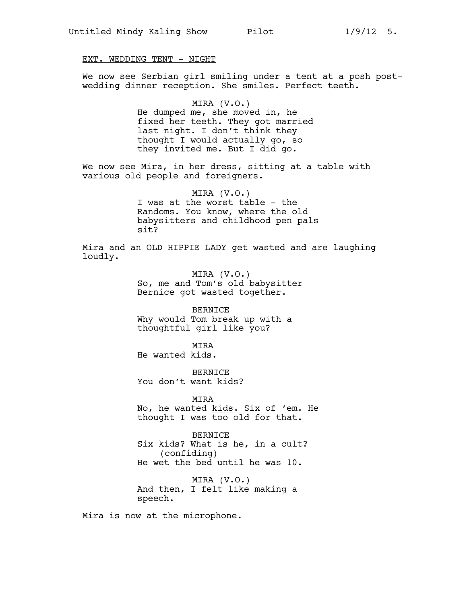### EXT. WEDDING TENT - NIGHT

We now see Serbian girl smiling under a tent at a posh postwedding dinner reception. She smiles. Perfect teeth.

> MIRA (V.O.) He dumped me, she moved in, he fixed her teeth. They got married last night. I don't think they thought I would actually go, so they invited me. But I did go.

We now see Mira, in her dress, sitting at a table with various old people and foreigners.

> MIRA (V.O.) I was at the worst table - the Randoms. You know, where the old babysitters and childhood pen pals sit?

Mira and an OLD HIPPIE LADY get wasted and are laughing loudly.

> MIRA (V.O.) So, me and Tom's old babysitter Bernice got wasted together.

BERNICE Why would Tom break up with a thoughtful girl like you?

MTRA

He wanted kids.

BERNICE You don't want kids?

MIRA No, he wanted kids. Six of 'em. He thought I was too old for that.

BERNICE Six kids? What is he, in a cult? (confiding) He wet the bed until he was 10.

MIRA (V.O.) And then, I felt like making a speech.

Mira is now at the microphone.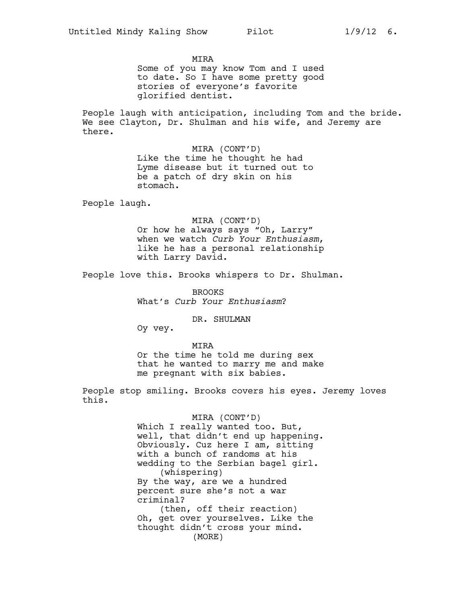MIRA Some of you may know Tom and I used to date. So I have some pretty good stories of everyone's favorite glorified dentist.

People laugh with anticipation, including Tom and the bride. We see Clayton, Dr. Shulman and his wife, and Jeremy are there.

> MIRA (CONT'D) Like the time he thought he had Lyme disease but it turned out to be a patch of dry skin on his stomach.

People laugh.

MIRA (CONT'D) Or how he always says "Oh, Larry" when we watch *Curb Your Enthusiasm*, like he has a personal relationship with Larry David.

People love this. Brooks whispers to Dr. Shulman.

BROOKS What's *Curb Your Enthusiasm*?

DR. SHULMAN

Oy vey.

MIRA Or the time he told me during sex that he wanted to marry me and make me pregnant with six babies.

People stop smiling. Brooks covers his eyes. Jeremy loves this.

#### MIRA (CONT'D)

Which I really wanted too. But, well, that didn't end up happening. Obviously. Cuz here I am, sitting with a bunch of randoms at his wedding to the Serbian bagel girl. (whispering) By the way, are we a hundred percent sure she's not a war criminal? (then, off their reaction) Oh, get over yourselves. Like the thought didn't cross your mind. (MORE)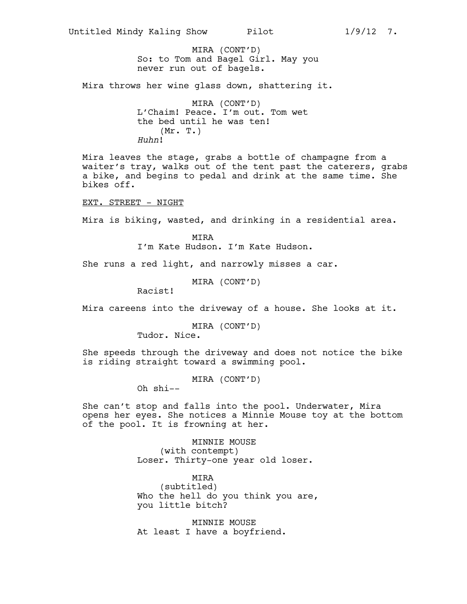So: to Tom and Bagel Girl. May you never run out of bagels. MIRA (CONT'D)

Mira throws her wine glass down, shattering it.

MIRA (CONT'D) L'Chaim! Peace. I'm out. Tom wet the bed until he was ten! (Mr. T.) *Huhn*!

Mira leaves the stage, grabs a bottle of champagne from a waiter's tray, walks out of the tent past the caterers, grabs a bike, and begins to pedal and drink at the same time. She bikes off.

EXT. STREET - NIGHT

Mira is biking, wasted, and drinking in a residential area.

MIRA I'm Kate Hudson. I'm Kate Hudson.

She runs a red light, and narrowly misses a car.

MIRA (CONT'D)

Racist!

Mira careens into the driveway of a house. She looks at it.

MIRA (CONT'D)

Tudor. Nice.

She speeds through the driveway and does not notice the bike is riding straight toward a swimming pool.

MIRA (CONT'D)

Oh shi--

She can't stop and falls into the pool. Underwater, Mira opens her eyes. She notices a Minnie Mouse toy at the bottom of the pool. It is frowning at her.

> MINNIE MOUSE (with contempt) Loser. Thirty-one year old loser.

MIRA (subtitled) Who the hell do you think you are, you little bitch?

MINNIE MOUSE At least I have a boyfriend.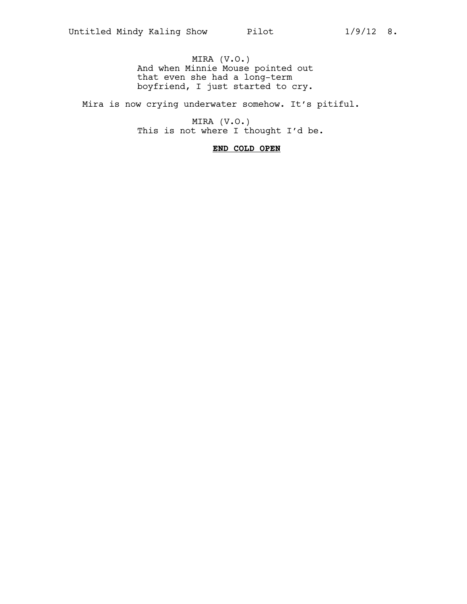MIRA (V.O.) And when Minnie Mouse pointed out that even she had a long-term boyfriend, I just started to cry.

Mira is now crying underwater somehow. It's pitiful.

MIRA (V.O.) This is not where I thought I'd be.

# **END COLD OPEN**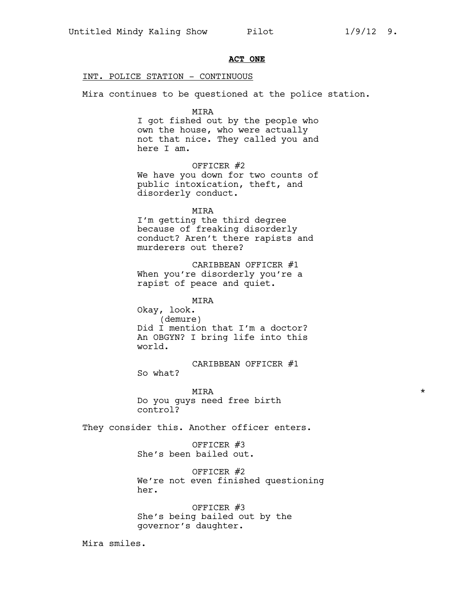#### **ACT ONE**

#### INT. POLICE STATION - CONTINUOUS

Mira continues to be questioned at the police station.

MIRA

I got fished out by the people who own the house, who were actually not that nice. They called you and here I am.

OFFICER #2

We have you down for two counts of public intoxication, theft, and disorderly conduct.

MIRA

I'm getting the third degree because of freaking disorderly conduct? Aren't there rapists and murderers out there?

CARIBBEAN OFFICER #1 When you're disorderly you're a rapist of peace and quiet.

MIRA

Okay, look. (demure) Did I mention that I'm a doctor? An OBGYN? I bring life into this world.

CARIBBEAN OFFICER #1 So what?

 $MIRA$ Do you guys need free birth control?

They consider this. Another officer enters.

OFFICER #3 She's been bailed out.

OFFICER #2 We're not even finished questioning her.

OFFICER #3 She's being bailed out by the governor's daughter.

Mira smiles.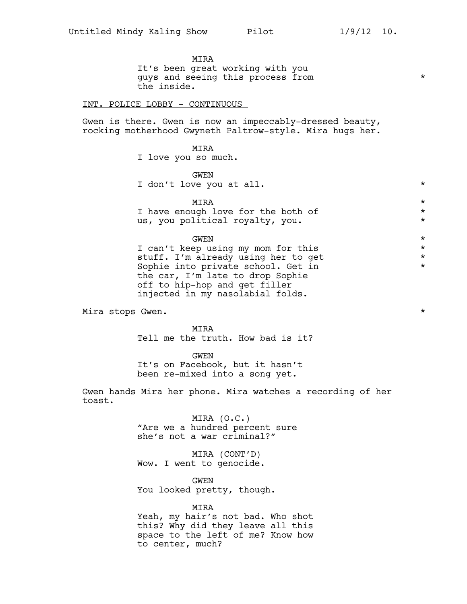MIRA It's been great working with you

guys and seeing this process from  $*$ the inside.

INT. POLICE LOBBY - CONTINUOUS

Gwen is there. Gwen is now an impeccably-dressed beauty, rocking motherhood Gwyneth Paltrow-style. Mira hugs her.

#### MIRA

I love you so much.

# GWEN

| I don't love you at all. |  |  |
|--------------------------|--|--|

MIRA  $\qquad$   $\qquad$   $\qquad$   $\qquad$   $\qquad$   $\qquad$   $\qquad$   $\qquad$   $\qquad$   $\qquad$   $\qquad$   $\qquad$   $\qquad$   $\qquad$   $\qquad$   $\qquad$   $\qquad$   $\qquad$   $\qquad$   $\qquad$   $\qquad$   $\qquad$   $\qquad$   $\qquad$   $\qquad$   $\qquad$   $\qquad$   $\qquad$   $\qquad$   $\qquad$   $\qquad$   $\qquad$   $\qquad$   $\qquad$   $\qquad$   $\qquad$  I have enough love for the both of  $*$ us, you political royalty, you. \*

# GWEN  $\star$

I can't keep using my mom for this<br>stuff. I'm already using her to get \*\*\* stuff. I'm already using her to get Sophie into private school. Get in  $*$ the car, I'm late to drop Sophie off to hip-hop and get filler injected in my nasolabial folds.

Mira stops Gwen.  $\star$ 

MIRA Tell me the truth. How bad is it?

GWEN It's on Facebook, but it hasn't been re-mixed into a song yet.

Gwen hands Mira her phone. Mira watches a recording of her toast.

> MIRA (O.C.) "Are we a hundred percent sure she's not a war criminal?"

MIRA (CONT'D) Wow. I went to genocide.

GWEN You looked pretty, though.

MIRA

Yeah, my hair's not bad. Who shot this? Why did they leave all this space to the left of me? Know how to center, much?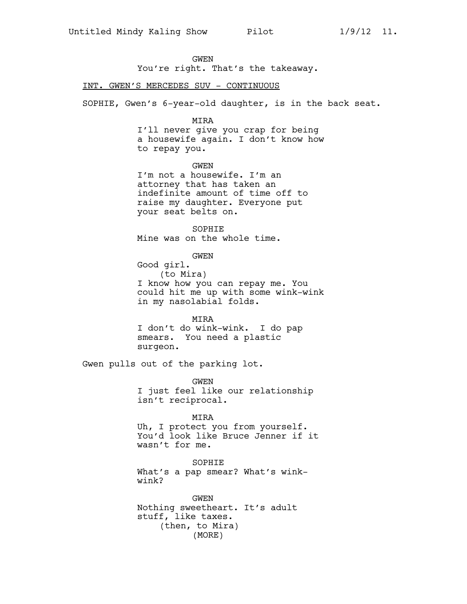#### GWEN

You're right. That's the takeaway.

# INT. GWEN'S MERCEDES SUV - CONTINUOUS

SOPHIE, Gwen's 6-year-old daughter, is in the back seat.

#### MIRA

I'll never give you crap for being a housewife again. I don't know how to repay you.

#### GWEN

I'm not a housewife. I'm an attorney that has taken an indefinite amount of time off to raise my daughter. Everyone put your seat belts on.

SOPHIE Mine was on the whole time.

GWEN

Good girl. (to Mira) I know how you can repay me. You could hit me up with some wink-wink in my nasolabial folds.

MIRA I don't do wink-wink. I do pap smears. You need a plastic surgeon.

Gwen pulls out of the parking lot.

GWEN I just feel like our relationship isn't reciprocal.

MIRA Uh, I protect you from yourself. You'd look like Bruce Jenner if it

wasn't for me.

#### SOPHIE

What's a pap smear? What's winkwink?

GWEN Nothing sweetheart. It's adult stuff, like taxes. (then, to Mira) (MORE)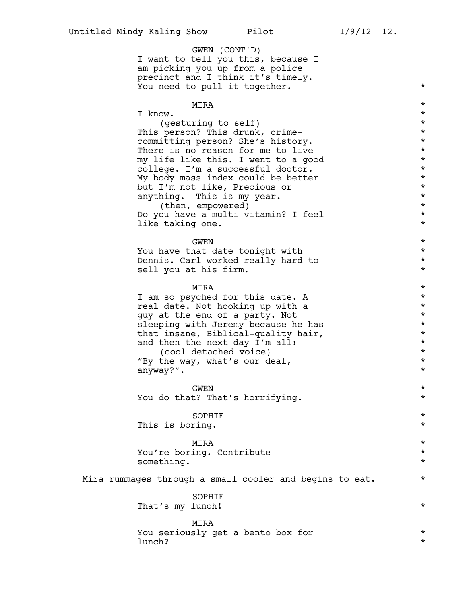I want to tell you this, because I am picking you up from a police precinct and I think it's timely. You need to pull it together.  $*$ GWEN (CONT'D)

 $MIRA$ I know.  $\star$ (gesturing to self)  $*$ <br>nerson? This drunk, crime-<br> $*$ This person? This drunk, crimecommitting person? She's history. \* There is no reason for me to live<br>my life like this. I went to a good my life like this. I went to a good  $*$ <br>college. I'm a successful doctor. college. I'm a successful doctor. \* My body mass index could be better  $*$ but I'm not like, Precious or  $*$ anything. This is my year.<br>
(then. empowered) \* \* (then, empowered) \* Do you have a multi-vitamin? I feel like taking one.  $\star$  $\overrightarrow{GWEN}$  \* You have that date tonight with  $*$ Dennis. Carl worked really hard to  $*$ sell you at his firm.  $\star$  $MIRA$ I am so psyched for this date. A<br>real date. Not hooking up with a  $\star$ real date. Not hooking up with a  $\star$ <br>guy at the end of a party. Not guy at the end of a party. Not<br>sleeping with Jeremy because he has  $\star$ sleeping with Jeremy because he has  $\star$ <br>that insane, Biblical-quality bair. that insane, Biblical-quality hair, \* and then the next day  $I'm$  all:  $(500]$  detached  $y_0$ ice) (cool detached voice) \* "By the way, what's our deal,  $\star$ <br>anyway?". anyway?".  $\overrightarrow{GWEN}$  \* You do that? That's horrifying.  $*$  ${\tt SOPHIE} \qquad \qquad {\tt \star}$ This is boring.  $\star$  $MIRA$ You're boring. Contribute  $*$ something.  $\star$ Mira rummages through a small cooler and begins to eat.  $*$ SOPHIE That's my lunch!  $\star$ MIRA You seriously get a bento box for  $*$ lunch? \*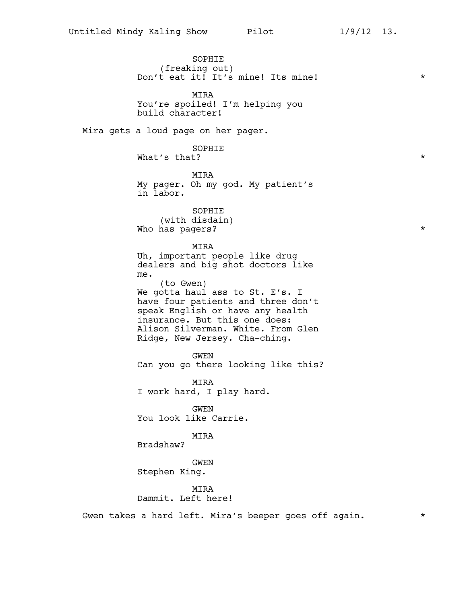SOPHIE (freaking out) Don't eat it! It's mine! Its mine!  $*$ MIRA You're spoiled! I'm helping you build character! Mira gets a loud page on her pager. SOPHIE What's that?  $\star$ MIRA My pager. Oh my god. My patient's in labor. SOPHIE (with disdain) Who has pagers?  $*$ MIRA Uh, important people like drug dealers and big shot doctors like me. (to Gwen) We gotta haul ass to St. E's. I have four patients and three don't speak English or have any health insurance. But this one does: Alison Silverman. White. From Glen Ridge, New Jersey. Cha-ching. GWEN Can you go there looking like this? MIRA I work hard, I play hard. GWEN You look like Carrie. MIRA Bradshaw? GWEN Stephen King. MIRA Dammit. Left here!

Gwen takes a hard left. Mira's beeper goes off again. \*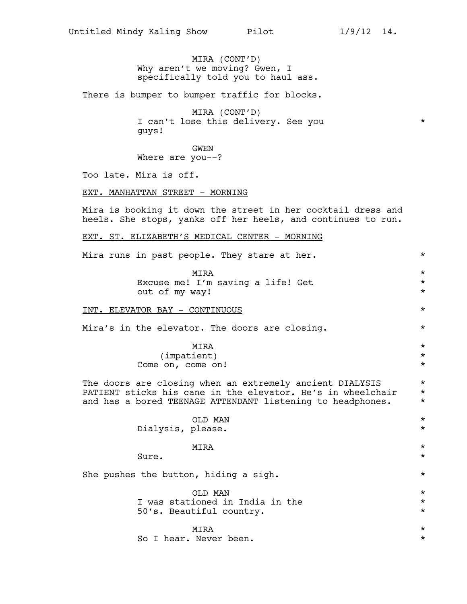MIRA (CONT'D) Why aren't we moving? Gwen, I specifically told you to haul ass.

There is bumper to bumper traffic for blocks.

MIRA (CONT'D) I can't lose this delivery. See you \* guys!

GWEN Where are you--?

Too late. Mira is off.

EXT. MANHATTAN STREET - MORNING

Mira is booking it down the street in her cocktail dress and heels. She stops, yanks off her heels, and continues to run.

EXT. ST. ELIZABETH'S MEDICAL CENTER - MORNING

| Mira runs in past people. They stare at her.                | $\star$  |
|-------------------------------------------------------------|----------|
| MIRA                                                        | $\star$  |
| Excuse me! I'm saving a life! Get                           | $\star$  |
| out of my way!                                              | $\star$  |
| INT. ELEVATOR BAY - CONTINUOUS                              | $\star$  |
| Mira's in the elevator. The doors are closing.              | $\star$  |
| MIRA                                                        | $\star$  |
| (impatient)                                                 | $\star$  |
| Come on, come on!                                           | $\star$  |
| The doors are closing when an extremely ancient DIALYSIS    | $\star$  |
| PATIENT sticks his cane in the elevator. He's in wheelchair | $\star$  |
| and has a bored TEENAGE ATTENDANT listening to headphones.  | $\star$  |
| OLD MAN                                                     | $\star$  |
| Dialysis, please.                                           | $\star$  |
| <b>MIRA</b>                                                 | $\star$  |
| Sure.                                                       | $\star$  |
| She pushes the button, hiding a sigh.                       | $\star$  |
| OLD MAN                                                     | $\star$  |
| I was stationed in India in the                             | $\star$  |
| 50's. Beautiful country.                                    | $\star$  |
| MIRA                                                        | $\star$  |
| So I hear. Never been.                                      | $^\star$ |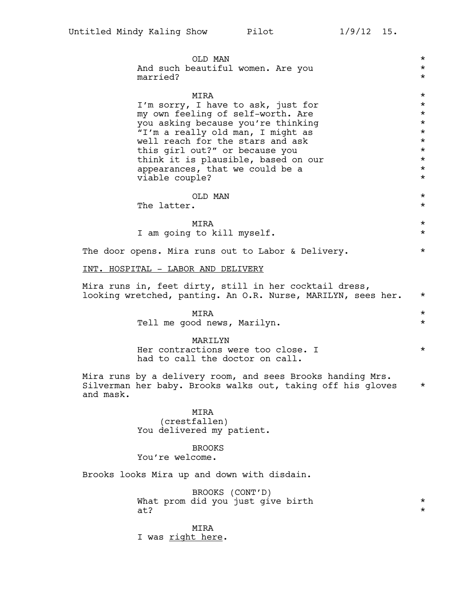|           | OLD MAN                                                                                                                | $^\star$             |
|-----------|------------------------------------------------------------------------------------------------------------------------|----------------------|
|           | And such beautiful women. Are you<br>married?                                                                          | $^\star$<br>$^\star$ |
|           |                                                                                                                        | $^\star$             |
|           | MIRA<br>I'm sorry, I have to ask, just for                                                                             | $^\star$             |
|           | my own feeling of self-worth. Are                                                                                      | $^\star$             |
|           | you asking because you're thinking                                                                                     | $^\star$             |
|           | "I'm a really old man, I might as                                                                                      | $^\star$             |
|           | well reach for the stars and ask                                                                                       | $^\star$             |
|           | this girl out?" or because you<br>think it is plausible, based on our                                                  | $^\star$<br>$^\star$ |
|           | appearances, that we could be a                                                                                        | $^\star$             |
|           | viable couple?                                                                                                         | $^\star$             |
|           | OLD MAN                                                                                                                | $^\star$             |
|           | The latter.                                                                                                            | $^\star$             |
|           | MIRA                                                                                                                   | $^\star$             |
|           | I am going to kill myself.                                                                                             | $^\star$             |
|           | The door opens. Mira runs out to Labor & Delivery.                                                                     | $^\star$             |
|           | INT. HOSPITAL - LABOR AND DELIVERY                                                                                     |                      |
|           | Mira runs in, feet dirty, still in her cocktail dress,<br>looking wretched, panting. An O.R. Nurse, MARILYN, sees her. | $^\star$             |
|           | MIRA                                                                                                                   | $^\star$             |
|           | Tell me good news, Marilyn.                                                                                            | $^\star$             |
|           | MARILYN                                                                                                                |                      |
|           | Her contractions were too close. I<br>had to call the doctor on call.                                                  | $^\star$             |
|           | Mira runs by a delivery room, and sees Brooks handing Mrs.                                                             |                      |
| and mask. | Silverman her baby. Brooks walks out, taking off his gloves                                                            | $^\star$             |
|           | MIRA                                                                                                                   |                      |
|           | (crestfallen)                                                                                                          |                      |
|           | You delivered my patient.                                                                                              |                      |
|           | <b>BROOKS</b>                                                                                                          |                      |
|           | You're welcome.                                                                                                        |                      |
|           | Brooks looks Mira up and down with disdain.                                                                            |                      |
|           | BROOKS (CONT'D)                                                                                                        |                      |
|           | What prom did you just give birth                                                                                      | $^\star$             |
|           | at?                                                                                                                    | $^\star$             |
|           | MIRA                                                                                                                   |                      |
|           | I was right here.                                                                                                      |                      |
|           |                                                                                                                        |                      |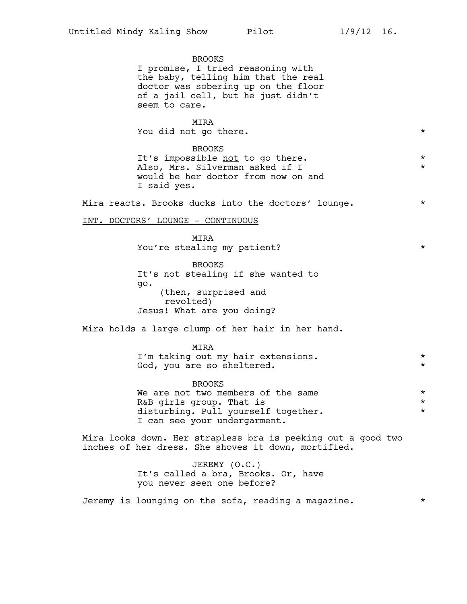BROOKS I promise, I tried reasoning with the baby, telling him that the real doctor was sobering up on the floor of a jail cell, but he just didn't seem to care.

# MIRA You did not go there. BROOKS It's impossible <u>not</u> to go there.  $*$ Also, Mrs. Silverman asked if I \* would be her doctor from now on and I said yes.

Mira reacts. Brooks ducks into the doctors' lounge.  $*$ 

# INT. DOCTORS' LOUNGE - CONTINUOUS

MIRA You're stealing my patient? \*

BROOKS It's not stealing if she wanted to go. (then, surprised and revolted) Jesus! What are you doing?

Mira holds a large clump of her hair in her hand.

| MTRA                               |  |
|------------------------------------|--|
| I'm taking out my hair extensions. |  |
| God, you are so sheltered.         |  |

BROOKS We are not two members of the same  $*$ <br>R&B girls group. That is R&B girls group. That is  $\star$ <br>disturbing. Pull vourself together. disturbing. Pull yourself together. I can see your undergarment.

Mira looks down. Her strapless bra is peeking out a good two inches of her dress. She shoves it down, mortified.

> JEREMY (O.C.) It's called a bra, Brooks. Or, have you never seen one before?

Jeremy is lounging on the sofa, reading a magazine.  $*$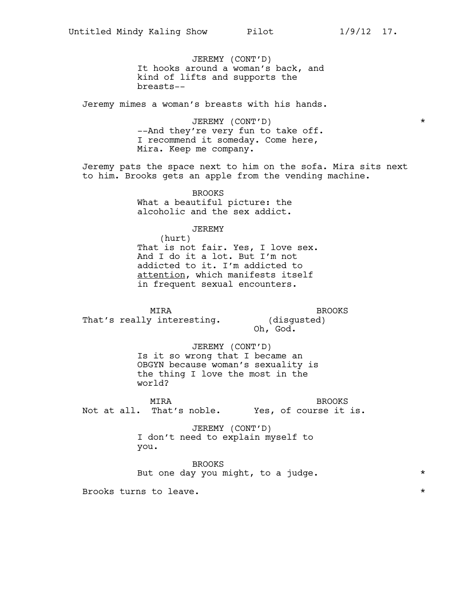JEREMY (CONT'D) It hooks around a woman's back, and kind of lifts and supports the breasts--

Jeremy mimes a woman's breasts with his hands.

JEREMY (CONT'D) \* --And they're very fun to take off. I recommend it someday. Come here, Mira. Keep me company.

Jeremy pats the space next to him on the sofa. Mira sits next to him. Brooks gets an apple from the vending machine.

> BROOKS What a beautiful picture: the alcoholic and the sex addict.

> > JEREMY

(hurt) That is not fair. Yes, I love sex. And I do it a lot. But I'm not addicted to it. I'm addicted to attention, which manifests itself in frequent sexual encounters.

MIRA That's really interesting.

BROOKS (disgusted) Oh, God.

JEREMY (CONT'D) Is it so wrong that I became an OBGYN because woman's sexuality is the thing I love the most in the world?

MIRA Not at all. That's noble. Yes, of course it is. BROOKS

> JEREMY (CONT'D) I don't need to explain myself to you.

BROOKS But one day you might, to a judge.  $*$ 

Brooks turns to leave.  $\star$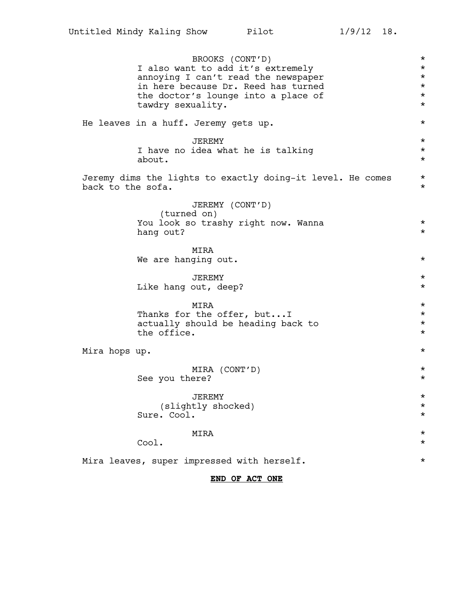BROOKS (CONT'D) \*<br>t to add it's extremely \* \* \* \* I also want to add it's extremely<br>annoving I can't read the newspaper \* \* \* annoying I can't read the newspaper in here because Dr. Reed has turned  $*$ the doctor's lounge into a place of  $\star$ <br>tawdry sexuality. tawdry sexuality. He leaves in a huff. Jeremy gets up.  $\star$ JEREMY<br>idea what he is talking that the islaming the state of the state of the state of the state of the state of the I have no idea what he is talking<br>about. about.  $\star$ Jeremy dims the lights to exactly doing-it level. He comes  $*$ back to the sofa.  $\star$ JEREMY (CONT'D) (turned on) You look so trashy right now. Wanna \*\* hang out?  $\star$ MIRA We are hanging out.  $\star$ JEREMY \* Like hang out, deep? MIRA  $\qquad$   $\qquad$   $\qquad$   $\qquad$   $\qquad$   $\qquad$   $\qquad$   $\qquad$   $\qquad$   $\qquad$   $\qquad$   $\qquad$   $\qquad$   $\qquad$   $\qquad$   $\qquad$   $\qquad$   $\qquad$   $\qquad$   $\qquad$   $\qquad$   $\qquad$   $\qquad$   $\qquad$   $\qquad$   $\qquad$   $\qquad$   $\qquad$   $\qquad$   $\qquad$   $\qquad$   $\qquad$   $\qquad$   $\qquad$   $\qquad$   $\qquad$  Thanks for the offer, but...I \* actually should be heading back to  $*$ the office.  $\star$ Mira hops up.  $\star$ MIRA (CONT'D) \* See you there?  $\star$ JEREMY \* (slightly shocked) \* Sure. Cool. \* MIRA  $\qquad$   $\qquad$   $\qquad$   $\qquad$   $\qquad$   $\qquad$   $\qquad$   $\qquad$   $\qquad$   $\qquad$   $\qquad$   $\qquad$   $\qquad$   $\qquad$   $\qquad$   $\qquad$   $\qquad$   $\qquad$   $\qquad$   $\qquad$   $\qquad$   $\qquad$   $\qquad$   $\qquad$   $\qquad$   $\qquad$   $\qquad$   $\qquad$   $\qquad$   $\qquad$   $\qquad$   $\qquad$   $\qquad$   $\qquad$   $\qquad$   $\qquad$  Cool.  $\star$ Mira leaves, super impressed with herself.  $\star$ 

# **END OF ACT ONE**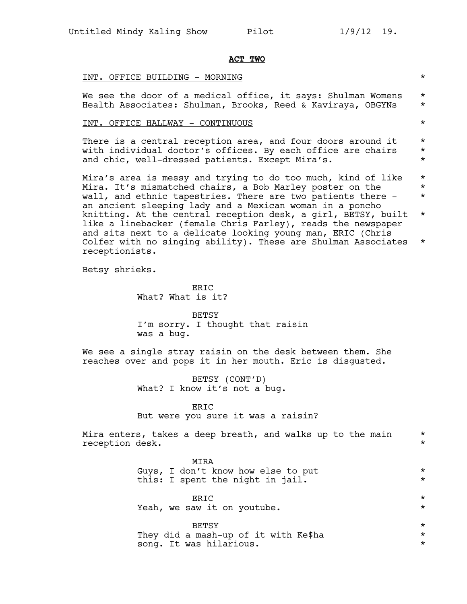#### **ACT TWO**

#### INT. OFFICE BUILDING - MORNING  $\qquad$

We see the door of a medical office, it says: Shulman Womens  $*$ Health Associates: Shulman, Brooks, Reed & Kaviraya, OBGYNs \*

#### INT. OFFICE HALLWAY - CONTINUOUS \*

There is a central reception area, and four doors around it  $*$ with individual doctor's offices. By each office are chairs \* and chic, well-dressed patients. Except Mira's. \* \* \*

Mira's area is messy and trying to do too much, kind of like  $*$ Mira. It's mismatched chairs, a Bob Marley poster on the  $*$ wall, and ethnic tapestries. There are two patients there  $-$  \* an ancient sleeping lady and a Mexican woman in a poncho knitting. At the central reception desk, a girl, BETSY, built  $*$ like a linebacker (female Chris Farley), reads the newspaper and sits next to a delicate looking young man, ERIC (Chris Colfer with no singing ability). These are Shulman Associates \* receptionists.

Betsy shrieks.

ERIC What? What is it?

BETSY I'm sorry. I thought that raisin was a bug.

We see a single stray raisin on the desk between them. She reaches over and pops it in her mouth. Eric is disgusted.

> BETSY (CONT'D) What? I know it's not a bug.

ERIC But were you sure it was a raisin?

Mira enters, takes a deep breath, and walks up to the main  $*$ reception desk.  $\qquad \qquad \star$ 

> MIRA Guys, I don't know how else to put \* this: I spent the night in jail.  $*$

> $\text{ERIC}$ Yeah, we saw it on youtube.  $*$

> BETSY **\*** They did a mash-up of it with Ke\$ha  $*$ song. It was hilarious.  $\star$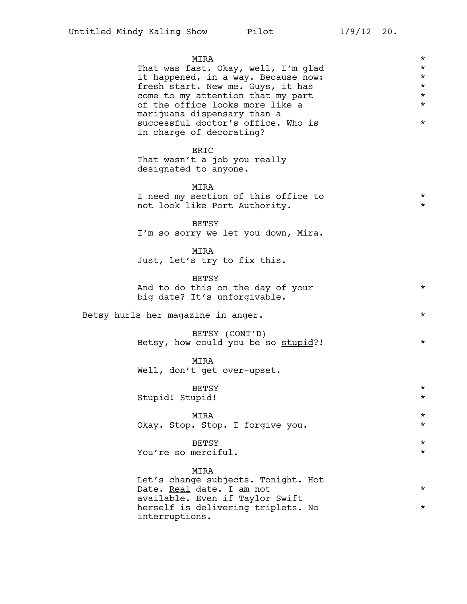| MIRA<br>That was fast. Okay, well, I'm glad<br>it happened, in a way. Because now:<br>fresh start. New me. Guys, it has<br>come to my attention that my part<br>of the office looks more like a<br>marijuana dispensary than a<br>successful doctor's office. Who is<br>in charge of decorating? | $^\star$<br>$^\star$<br>$^\star$<br>$^\star$<br>$^\star$<br>$^\star$<br>$^\star$ |
|--------------------------------------------------------------------------------------------------------------------------------------------------------------------------------------------------------------------------------------------------------------------------------------------------|----------------------------------------------------------------------------------|
| ERIC<br>That wasn't a job you really<br>designated to anyone.                                                                                                                                                                                                                                    |                                                                                  |
| MIRA<br>I need my section of this office to<br>not look like Port Authority.                                                                                                                                                                                                                     | $^\star$<br>$^\star$                                                             |
| <b>BETSY</b><br>I'm so sorry we let you down, Mira.                                                                                                                                                                                                                                              |                                                                                  |
| MIRA<br>Just, let's try to fix this.                                                                                                                                                                                                                                                             |                                                                                  |
| <b>BETSY</b><br>And to do this on the day of your<br>big date? It's unforgivable.                                                                                                                                                                                                                | $^\star$                                                                         |
| Betsy hurls her magazine in anger.                                                                                                                                                                                                                                                               | $^\star$                                                                         |
| BETSY (CONT'D)<br>Betsy, how could you be so stupid?!                                                                                                                                                                                                                                            | $^\star$                                                                         |
| MIRA<br>Well, don't get over-upset.                                                                                                                                                                                                                                                              |                                                                                  |
| <b>BETSY</b><br>Stupid! Stupid!                                                                                                                                                                                                                                                                  | $^\star$<br>$^\star$                                                             |
| MIRA<br>Okay. Stop. Stop. I forgive you.                                                                                                                                                                                                                                                         | $^\star$<br>$^\star$                                                             |
| <b>BETSY</b><br>You're so merciful.                                                                                                                                                                                                                                                              | $^\star$<br>$\star$                                                              |
| MIRA<br>Let's change subjects. Tonight. Hot<br>Date. Real date. I am not<br>available. Even if Taylor Swift<br>herself is delivering triplets. No<br>interruptions.                                                                                                                              | $^\star$<br>$^\star$                                                             |
|                                                                                                                                                                                                                                                                                                  |                                                                                  |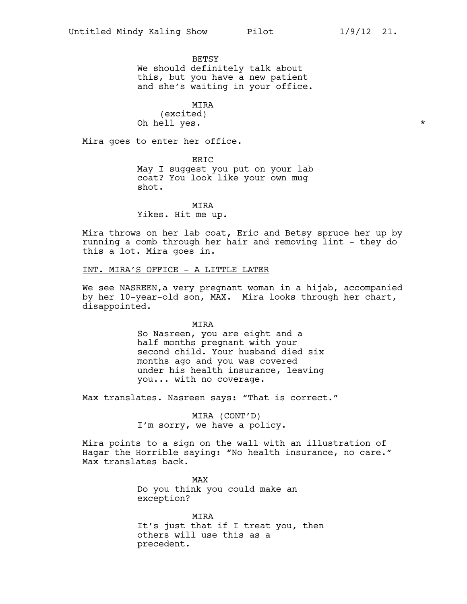BETSY We should definitely talk about this, but you have a new patient and she's waiting in your office.

MIRA (excited) Oh hell yes. \*

Mira goes to enter her office.

ERIC May I suggest you put on your lab coat? You look like your own mug shot.

MIRA

Yikes. Hit me up.

Mira throws on her lab coat, Eric and Betsy spruce her up by running a comb through her hair and removing lint - they do this a lot. Mira goes in.

#### INT. MIRA'S OFFICE - A LITTLE LATER

We see NASREEN,a very pregnant woman in a hijab, accompanied by her 10-year-old son, MAX. Mira looks through her chart, disappointed.

MIRA

So Nasreen, you are eight and a half months pregnant with your second child. Your husband died six months ago and you was covered under his health insurance, leaving you... with no coverage.

Max translates. Nasreen says: "That is correct."

MIRA (CONT'D) I'm sorry, we have a policy.

Mira points to a sign on the wall with an illustration of Hagar the Horrible saying: "No health insurance, no care." Max translates back.

> MAX Do you think you could make an exception?

MIRA It's just that if I treat you, then others will use this as a precedent.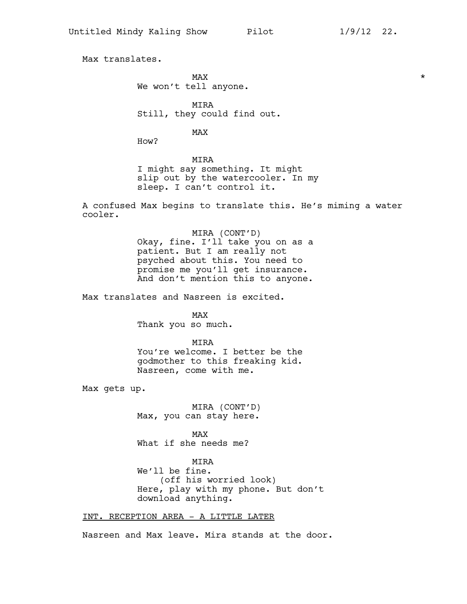Max translates.

 $\text{MAX}$   $\star$ We won't tell anyone.

MIRA Still, they could find out.

# MAX

How?

# MIRA

I might say something. It might slip out by the watercooler. In my sleep. I can't control it.

A confused Max begins to translate this. He's miming a water cooler.

> MIRA (CONT'D) Okay, fine. I'll take you on as a patient. But I am really not psyched about this. You need to promise me you'll get insurance. And don't mention this to anyone.

Max translates and Nasreen is excited.

MAX Thank you so much.

MIRA

You're welcome. I better be the godmother to this freaking kid. Nasreen, come with me.

Max gets up.

MIRA (CONT'D) Max, you can stay here.

MAX What if she needs me?

**MTRA** We'll be fine. (off his worried look) Here, play with my phone. But don't download anything.

# INT. RECEPTION AREA - A LITTLE LATER

Nasreen and Max leave. Mira stands at the door.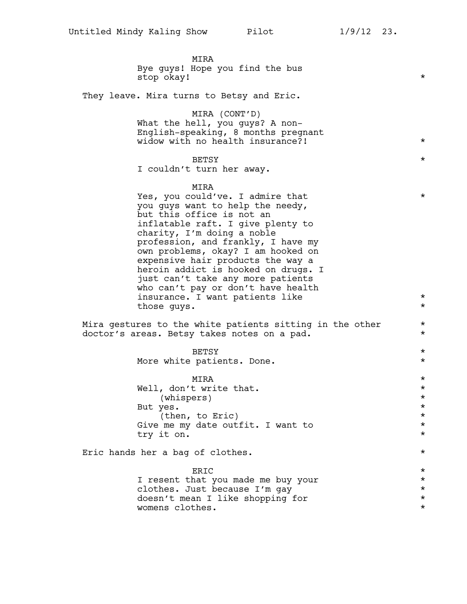MIRA Bye guys! Hope you find the bus stop okay! \* They leave. Mira turns to Betsy and Eric. MIRA (CONT'D) What the hell, you guys? A non-English-speaking, 8 months pregnant widow with no health insurance?! \* BETSY **\*** I couldn't turn her away. MIRA Yes, you could've. I admire that  $*$ you guys want to help the needy, but this office is not an inflatable raft. I give plenty to charity, I'm doing a noble profession, and frankly, I have my own problems, okay? I am hooked on expensive hair products the way a heroin addict is hooked on drugs. I just can't take any more patients who can't pay or don't have health insurance. I want patients like  $\star$ <br>those guys. those guys. Mira gestures to the white patients sitting in the other  $*$ <br>doctor's areas. Betsy takes notes on a pad. doctor's areas. Betsy takes notes on a pad. \* BETSY **\*** More white patients. Done.  $*$  $MIRA$ Well, don't write that.  $\star$ (whispers) \* But yes.  $\star$ <br>(then, to Eric)  $\star$ (then, to Eric)  $\star$ <br>ene my date outfit. I want to  $\star$ Give me my date outfit. I want to  $\star$ <br>  $\star$ try it on. Eric hands her a bag of clothes.  $\text{ERIC}$ I resent that you made me buy your \* \* clothes. Just because I'm gay \* doesn't mean I like shopping for \* womens clothes.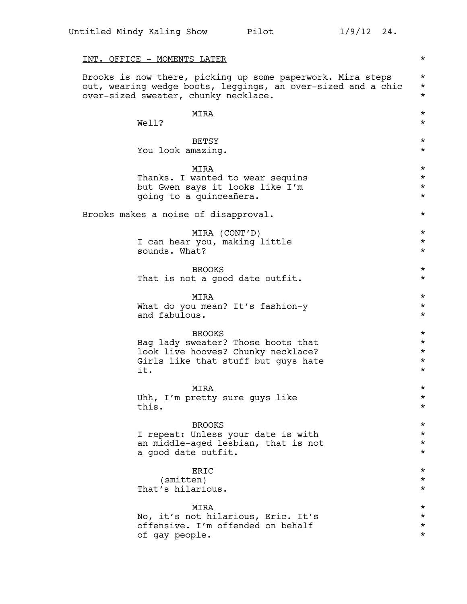| INT. OFFICE - MOMENTS LATER                                                                                                                                        | $\star$                                                  |
|--------------------------------------------------------------------------------------------------------------------------------------------------------------------|----------------------------------------------------------|
| Brooks is now there, picking up some paperwork. Mira steps<br>out, wearing wedge boots, leggings, an over-sized and a chic<br>over-sized sweater, chunky necklace. | $^\star$<br>$^\star$<br>$^\star$                         |
| MIRA<br>Well?                                                                                                                                                      | $^\star$<br>$^\star$                                     |
| BETSY<br>You look amazing.                                                                                                                                         | $^\star$<br>$^\star$                                     |
| <b>MIRA</b><br>Thanks. I wanted to wear sequins<br>but Gwen says it looks like I'm<br>going to a quinceañera.                                                      | $^\star$<br>$^\star$<br>$^\star$<br>$^\star$             |
| Brooks makes a noise of disapproval.                                                                                                                               | $^\star$                                                 |
| MIRA (CONT'D)<br>I can hear you, making little<br>sounds. What?                                                                                                    | $^\star$<br>$^\star$<br>$^\star$                         |
| <b>BROOKS</b><br>That is not a good date outfit.                                                                                                                   | $^\star$<br>$^\star$                                     |
| MIRA<br>What do you mean? It's fashion-y<br>and fabulous.                                                                                                          | $^\star$<br>$^\star$<br>$^\star$                         |
| <b>BROOKS</b><br>Bag lady sweater? Those boots that<br>look live hooves? Chunky necklace?<br>Girls like that stuff but guys hate<br>it.                            | $^\star$<br>$^\star$<br>$^\star$<br>$^\star$<br>$^\star$ |
| MIRA<br>Uhh, I'm pretty sure guys like<br>this.                                                                                                                    | $^\star$<br>$^\star$                                     |
| <b>BROOKS</b><br>I repeat: Unless your date is with<br>an middle-aged lesbian, that is not<br>a good date outfit.                                                  | $^\star$<br>$^\star$<br>$^\star$<br>$^\star$             |
| <b>ERIC</b><br>(smitter)<br>That's hilarious.                                                                                                                      | $^\star$<br>$^\star$<br>$^\star$                         |
| MIRA<br>No, it's not hilarious, Eric. It's<br>offensive. I'm offended on behalf<br>of gay people.                                                                  | $^\star$<br>$^\star$<br>$^\star$<br>$^\star$             |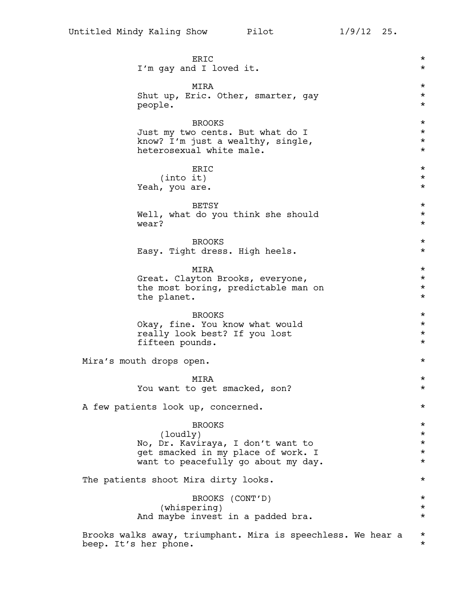$\text{ERIC}$ I'm gay and I loved it.  $\star$  $MIRA$ Shut up, Eric. Other, smarter, gay  $*$ people. \*  $\begin{array}{ccc}\n\text{BROOKS} & & & \star \\
\text{S} & \text{Cents} & \text{Bult what do I} & & \star\n\end{array}$ Just my two cents. But what do I \* know? I'm just a wealthy, single,  $*$ <br>beterosexual white male heterosexual white male.  $\text{ERIC}$  $(into$  it)  $*$ Yeah, you are.  $\star$ BETSY **\*** Well, what do you think she should  $*$ wear?  $\star$  $\texttt{BROOKS}$   $\texttt{*}$   $\texttt{AreaS}$   $\texttt{High}$   $\texttt{headS}$   $\texttt{*}$ Easy. Tight dress. High heels. \*  $MIRA$ Great. Clayton Brooks, everyone,  $\star$ the most boring, predictable man on  $*$ the planet.  $\star$ BROOKS \* Okay, fine. You know what would  $\star$ <br>really look best? If you lost  $\star$ really look best? If you lost \* fifteen pounds. \* Mira's mouth drops open.  $\star$  $MIRA$ You want to get smacked, son?  $*$ A few patients look up, concerned.  $*$ BROOKS  $\star$ (loudly) \* No, Dr. Kaviraya, I don't want to \* get smacked in my place of work. I \* want to peacefully go about my day. \* \* The patients shoot Mira dirty looks.  $*$ BROOKS (CONT'D) \* (whispering)<br>maybe invest in a padded bra. \* \* \* \* \* And maybe invest in a padded bra. Brooks walks away, triumphant. Mira is speechless. We hear a \*

beep. It's her phone.  $\star$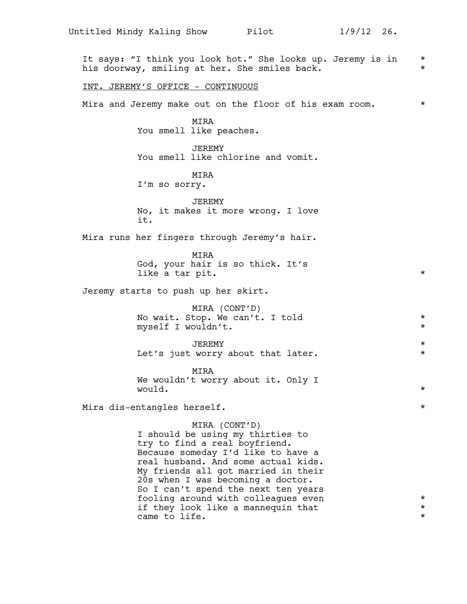It says: "I think you look hot." She looks up. Jeremy is in \*<br>his doorway, smiling at her, She smiles hack his doorway, smiling at her. She smiles back. INT. JEREMY'S OFFICE - CONTINUOUS Mira and Jeremy make out on the floor of his exam room.  $*$ MIRA You smell like peaches. JEREMY You smell like chlorine and vomit. MIRA I'm so sorry. JEREMY No, it makes it more wrong. I love it. Mira runs her fingers through Jeremy's hair. MIRA God, your hair is so thick. It's like a tar pit.  $\star$ Jeremy starts to push up her skirt. MIRA (CONT'D) No wait. Stop. We can't. I told \* myself I wouldn't.  $*$ JEREMY<br>worry about that later.  $\star$ Let's just worry about that later. MIRA We wouldn't worry about it. Only I would.  $\star$ Mira dis-entangles herself.  $\star$ MIRA (CONT'D) I should be using my thirties to try to find a real boyfriend. Because someday I'd like to have a real husband. And some actual kids. My friends all got married in their 20s when I was becoming a doctor. So I can't spend the next ten years fooling around with colleagues even  $\star$ <br>if they look like a mannequin that  $\star$ if they look like a mannequin that  $\star$ <br>came to life. came to life.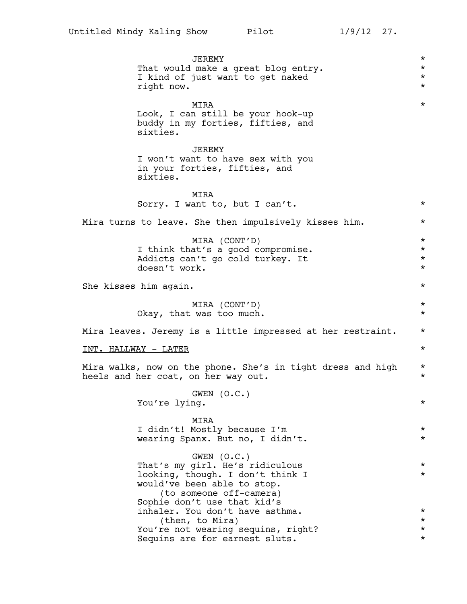|                             | JEREMY<br>That would make a great blog entry.<br>I kind of just want to get naked<br>right now.                                                                                                                                     | $^\star$<br>$^\star$<br>$^\star$<br>$^\star$ |  |  |
|-----------------------------|-------------------------------------------------------------------------------------------------------------------------------------------------------------------------------------------------------------------------------------|----------------------------------------------|--|--|
|                             | MIRA<br>Look, I can still be your hook-up<br>buddy in my forties, fifties, and<br>sixties.                                                                                                                                          | $^\star$                                     |  |  |
|                             | <b>JEREMY</b><br>I won't want to have sex with you<br>in your forties, fifties, and<br>sixties.                                                                                                                                     |                                              |  |  |
|                             | MIRA<br>Sorry. I want to, but I can't.                                                                                                                                                                                              | $^\star$                                     |  |  |
|                             | Mira turns to leave. She then impulsively kisses him.                                                                                                                                                                               | $^\star$                                     |  |  |
|                             | MIRA (CONT'D)<br>I think that's a good compromise.<br>Addicts can't go cold turkey. It<br>doesn't work.                                                                                                                             | $^\star$<br>$^\star$<br>$^\star$<br>$^\star$ |  |  |
|                             | She kisses him again.                                                                                                                                                                                                               | $^\star$                                     |  |  |
|                             | MIRA (CONT'D)<br>Okay, that was too much.                                                                                                                                                                                           | $^\star$<br>$^\star$                         |  |  |
|                             | Mira leaves. Jeremy is a little impressed at her restraint.                                                                                                                                                                         | $^\star$                                     |  |  |
| <u>INT. HALLWAY - LATER</u> |                                                                                                                                                                                                                                     |                                              |  |  |
|                             | Mira walks, now on the phone. She's in tight dress and high<br>heels and her coat, on her way out.                                                                                                                                  | $^\star$<br>$^\star$                         |  |  |
|                             | GWEN (O.C.)<br>You're lying.                                                                                                                                                                                                        | $^\star$                                     |  |  |
|                             | MIRA<br>I didn't! Mostly because I'm<br>wearing Spanx. But no, I didn't.                                                                                                                                                            | $^\star$<br>$^\star$                         |  |  |
|                             | GWEN $(0.C.)$<br>That's my girl. He's ridiculous<br>looking, though. I don't think I<br>would've been able to stop.<br>(to someone off-camera)<br>Sophie don't use that kid's<br>inhaler. You don't have asthma.<br>(then, to Mira) | $^\star$<br>$^\star$<br>$^\star$<br>$^\star$ |  |  |
|                             | You're not wearing sequins, right?<br>Sequins are for earnest sluts.                                                                                                                                                                | $^\star$<br>$^\star$                         |  |  |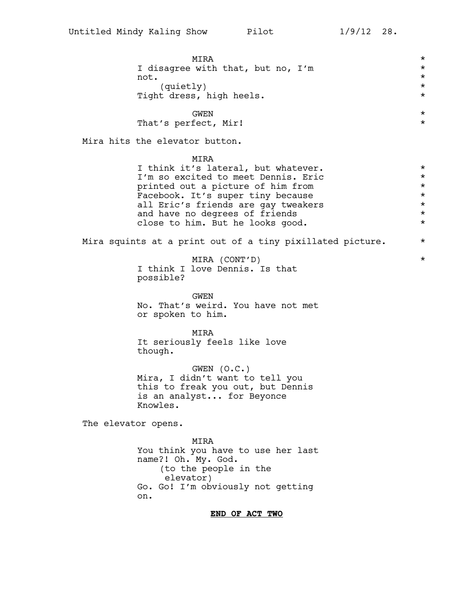| MIRA<br>I disagree with that, but no, I'm<br>not.<br>(quietly)<br>Tight dress, high heels.                                                                                                                                                                                | $^\star$<br>$^\star$<br>$^\star$<br>$^\star$<br>$^\star$                         |
|---------------------------------------------------------------------------------------------------------------------------------------------------------------------------------------------------------------------------------------------------------------------------|----------------------------------------------------------------------------------|
| <b>GWEN</b><br>That's perfect, Mir!                                                                                                                                                                                                                                       | $^\star$<br>$^\star$                                                             |
| Mira hits the elevator button.                                                                                                                                                                                                                                            |                                                                                  |
| MIRA<br>I think it's lateral, but whatever.<br>I'm so excited to meet Dennis. Eric<br>printed out a picture of him from<br>Facebook. It's super tiny because<br>all Eric's friends are gay tweakers<br>and have no degrees of friends<br>close to him. But he looks good. | $^\star$<br>$^\star$<br>$^\star$<br>$^\star$<br>$^\star$<br>$^\star$<br>$^\star$ |
| Mira squints at a print out of a tiny pixillated picture.                                                                                                                                                                                                                 | $^\star$                                                                         |
| MIRA (CONT'D)<br>I think I love Dennis. Is that<br>possible?                                                                                                                                                                                                              | $^\star$                                                                         |
| <b>GWEN</b><br>No. That's weird. You have not met<br>or spoken to him.                                                                                                                                                                                                    |                                                                                  |
| MIRA<br>It seriously feels like love<br>though.                                                                                                                                                                                                                           |                                                                                  |
| GWEN $(0.C.)$<br>Mira, I didn't want to tell you<br>this to freak you out, but Dennis<br>is an analyst for Beyonce<br>Knowles.                                                                                                                                            |                                                                                  |
| The elevator opens.                                                                                                                                                                                                                                                       |                                                                                  |
| MIRA<br>You think you have to use her last<br>name?! Oh. My. God.<br>(to the people in the<br>elevator)<br>Go. Go! I'm obviously not getting<br>on.                                                                                                                       |                                                                                  |

# **END OF ACT TWO**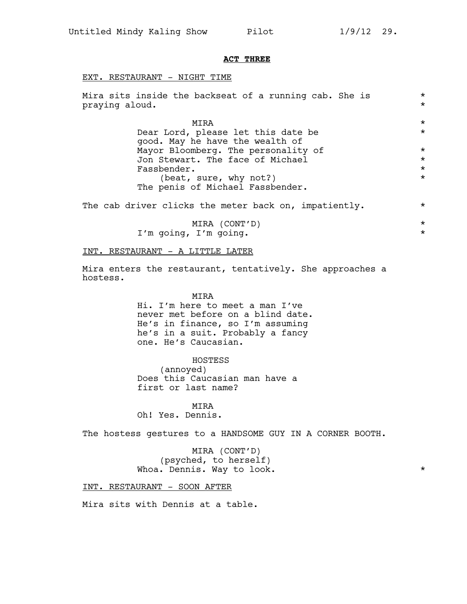# **ACT THREE**

#### EXT. RESTAURANT - NIGHT TIME

| Mira sits inside the backseat of a running cab. She is                | $\star$ |
|-----------------------------------------------------------------------|---------|
| praying aloud.                                                        | $\star$ |
| <b>MTRA</b>                                                           | $\star$ |
| Dear Lord, please let this date be<br>good. May he have the wealth of | $\star$ |
| Mayor Bloomberg. The personality of                                   | $\star$ |
| Jon Stewart. The face of Michael                                      | $\star$ |
| Fassbender.                                                           | $\star$ |
| (beat, sure, why not?)<br>The penis of Michael Fassbender.            | $\star$ |
| The cab driver clicks the meter back on, impatiently.                 | $\star$ |
| MIRA (CONT'D)                                                         | $\star$ |
| I'm going, I'm going.                                                 | $\star$ |

### INT. RESTAURANT - A LITTLE LATER

Mira enters the restaurant, tentatively. She approaches a hostess.

> MIRA Hi. I'm here to meet a man I've never met before on a blind date. He's in finance, so I'm assuming he's in a suit. Probably a fancy one. He's Caucasian.

HOSTESS (annoyed) Does this Caucasian man have a first or last name?

MIRA Oh! Yes. Dennis.

The hostess gestures to a HANDSOME GUY IN A CORNER BOOTH.

MIRA (CONT'D) (psyched, to herself) Whoa. Dennis. Way to look.  $\star$ 

INT. RESTAURANT - SOON AFTER

Mira sits with Dennis at a table.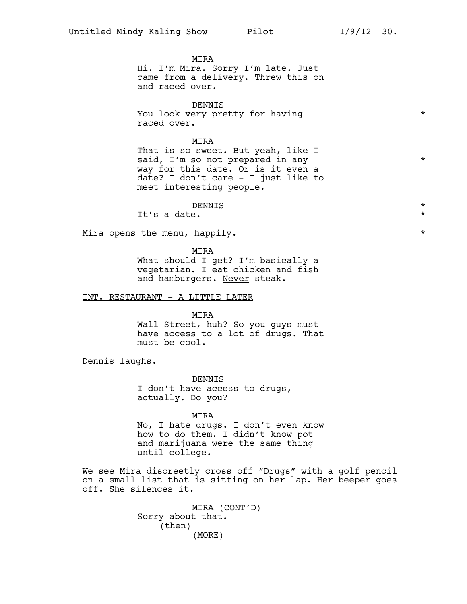**MTRA** Hi. I'm Mira. Sorry I'm late. Just came from a delivery. Threw this on and raced over.

DENNIS You look very pretty for having  $*$ raced over.

MIRA

That is so sweet. But yeah, like I said, I'm so not prepared in any  $*$ way for this date. Or is it even a date? I don't care - I just like to meet interesting people.

# DENNIS \*

It's a date.

Mira opens the menu, happily.  $\star$ 

MIRA

What should I get? I'm basically a vegetarian. I eat chicken and fish and hamburgers. Never steak.

INT. RESTAURANT - A LITTLE LATER

MIRA

Wall Street, huh? So you guys must have access to a lot of drugs. That must be cool.

Dennis laughs.

DENNIS I don't have access to drugs, actually. Do you?

MIRA No, I hate drugs. I don't even know how to do them. I didn't know pot and marijuana were the same thing until college.

We see Mira discreetly cross off "Drugs" with a golf pencil on a small list that is sitting on her lap. Her beeper goes off. She silences it.

> MIRA (CONT'D) Sorry about that. (then) (MORE)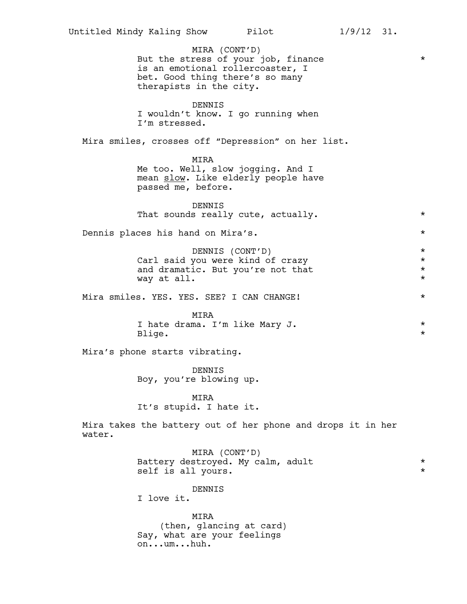| Untitled Mindy Kaling Show Pilot |                                           |                 |                                                                                                            | $1/9/12$ 31. |                                          |
|----------------------------------|-------------------------------------------|-----------------|------------------------------------------------------------------------------------------------------------|--------------|------------------------------------------|
|                                  | therapists in the city.                   | MIRA (CONT'D)   | But the stress of your job, finance<br>is an emotional rollercoaster, I<br>bet. Good thing there's so many |              | $\star$                                  |
|                                  | I'm stressed.                             | DENNIS          | I wouldn't know. I go running when                                                                         |              |                                          |
|                                  |                                           |                 | Mira smiles, crosses off "Depression" on her list.                                                         |              |                                          |
|                                  | passed me, before.                        | <b>MIRA</b>     | Me too. Well, slow jogging. And I<br>mean slow. Like elderly people have                                   |              |                                          |
|                                  |                                           | <b>DENNIS</b>   | That sounds really cute, actually.                                                                         |              | $\star$                                  |
|                                  | Dennis places his hand on Mira's.         |                 |                                                                                                            |              | $\star$                                  |
|                                  | way at all.                               | DENNIS (CONT'D) | Carl said you were kind of crazy<br>and dramatic. But you're not that                                      |              | $\star$<br>$\star$<br>$\star$<br>$\star$ |
|                                  | Mira smiles. YES. YES. SEE? I CAN CHANGE! |                 |                                                                                                            |              | $\star$                                  |
|                                  | I hate drama. I'm like Mary J.<br>Blige.  | MIRA            |                                                                                                            |              | $\star$<br>$^\star$                      |
|                                  | Mira's phone starts vibrating.            |                 |                                                                                                            |              |                                          |
|                                  | Boy, you're blowing up.                   | DENNIS          |                                                                                                            |              |                                          |
|                                  | It's stupid. I hate it.                   | MIRA            |                                                                                                            |              |                                          |
| water.                           |                                           |                 | Mira takes the battery out of her phone and drops it in her                                                |              |                                          |
|                                  |                                           | MIRA (CONT'D)   | Battery destroyed. My calm, adult                                                                          |              | $^\star$                                 |

self is all yours.

DENNIS

I love it.

MIRA (then, glancing at card) Say, what are your feelings on...um...huh.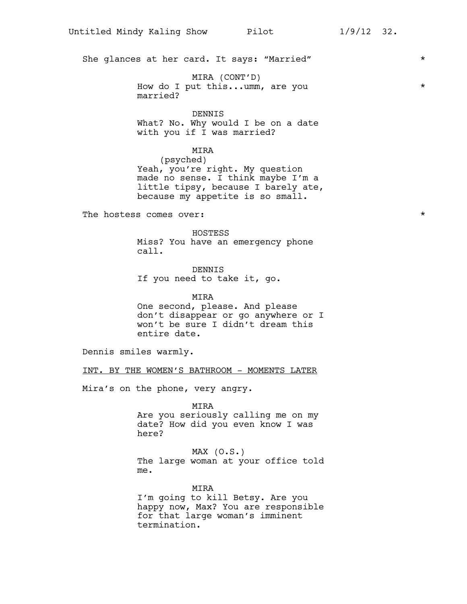She glances at her card. It says: "Married" \*

MIRA (CONT'D) How do I put this...umm, are you \* married?

DENNIS What? No. Why would I be on a date with you if I was married?

#### MIRA

(psyched) Yeah, you're right. My question made no sense. I think maybe I'm a little tipsy, because I barely ate, because my appetite is so small.

The hostess comes over:  $\star$ 

HOSTESS

Miss? You have an emergency phone call.

DENNIS If you need to take it, go.

MIRA One second, please. And please don't disappear or go anywhere or I won't be sure I didn't dream this entire date.

Dennis smiles warmly.

INT. BY THE WOMEN'S BATHROOM - MOMENTS LATER

Mira's on the phone, very angry.

MIRA

Are you seriously calling me on my date? How did you even know I was here?

MAX  $(0.S.)$ The large woman at your office told me.

#### MIRA

I'm going to kill Betsy. Are you happy now, Max? You are responsible for that large woman's imminent termination.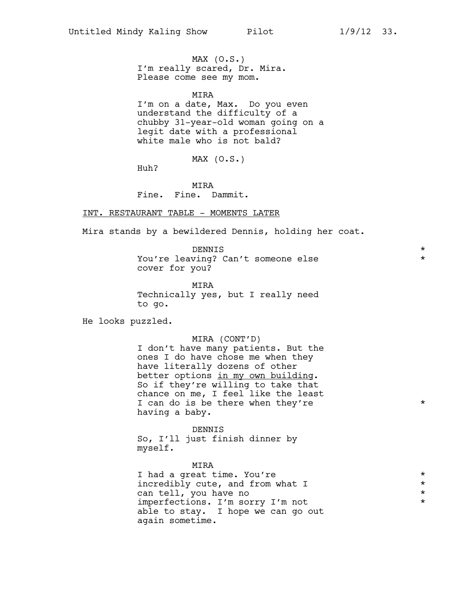$MAX (0.S.)$ I'm really scared, Dr. Mira. Please come see my mom.

MIRA I'm on a date, Max. Do you even understand the difficulty of a chubby 31-year-old woman going on a legit date with a professional white male who is not bald?

 $MAX (0.S.)$ 

Huh?

MIRA Fine. Fine. Dammit.

#### INT. RESTAURANT TABLE - MOMENTS LATER

Mira stands by a bewildered Dennis, holding her coat.

DENNIS \* You're leaving? Can't someone else \* \* \* cover for you?

MIRA Technically yes, but I really need to go.

He looks puzzled.

#### MIRA (CONT'D)

I don't have many patients. But the ones I do have chose me when they have literally dozens of other better options in my own building.<br>So if they're willing to take that chance on me, I feel like the least I can do is be there when they're  $*$ having a baby.

DENNIS So, I'll just finish dinner by myself.

#### MIRA

I had a great time. You're  $\star$ incredibly cute, and from what I  $*$ can tell, you have no  $*$ imperfections. I'm sorry I'm not \* able to stay. I hope we can go out again sometime.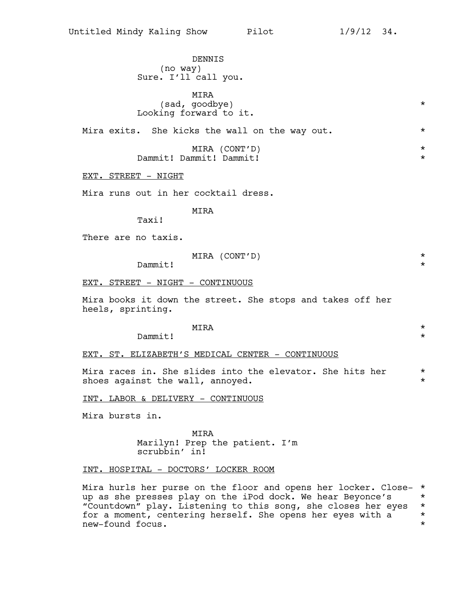DENNIS (no way) Sure. I'll call you.

| MTRA                   |  |
|------------------------|--|
| (sad, goodbye)         |  |
| Looking forward to it. |  |

Mira exits. She kicks the wall on the way out.  $*$ 

MIRA (CONT'D) \* Dammit! Dammit! Dammit! \*

EXT. STREET - NIGHT

Mira runs out in her cocktail dress.

MIRA

There are no taxis.

Taxi!

|  | MIRA (CONT'D) |  |  |
|--|---------------|--|--|
|--|---------------|--|--|

Dammit! \*

### EXT. STREET - NIGHT - CONTINUOUS

Mira books it down the street. She stops and takes off her heels, sprinting.

|         | <b>MTRA</b> | ىلە |  |
|---------|-------------|-----|--|
| Dammit! |             | -1- |  |

#### EXT. ST. ELIZABETH'S MEDICAL CENTER - CONTINUOUS

Mira races in. She slides into the elevator. She hits her  $*$ shoes against the wall, annoyed. The set of the state of  $\star$ 

INT. LABOR & DELIVERY - CONTINUOUS

Mira bursts in.

MIRA Marilyn! Prep the patient. I'm scrubbin' in!

# INT. HOSPITAL - DOCTORS' LOCKER ROOM

Mira hurls her purse on the floor and opens her locker. Close-  $*$ <br>up as she presses play on the iPod dock. We hear Beyonce's up as she presses play on the iPod dock. We hear Beyonce's "Countdown" play. Listening to this song, she closes her eyes  $*$ <br>for a moment, centering berself, She opens her eyes with a for a moment, centering herself. She opens her eyes with a  $*$  new-found focus. new-found focus.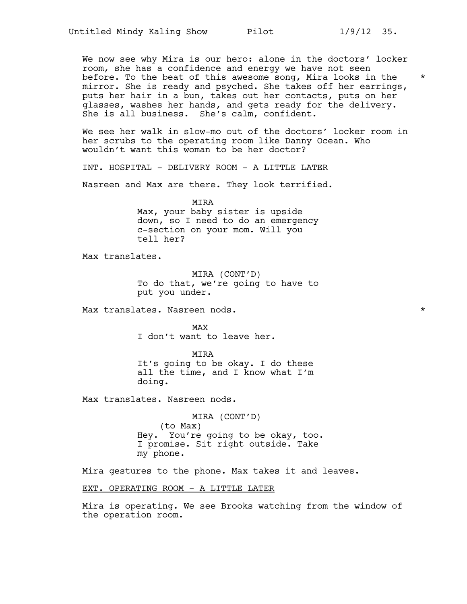We now see why Mira is our hero: alone in the doctors' locker room, she has a confidence and energy we have not seen before. To the beat of this awesome song, Mira looks in the \* mirror. She is ready and psyched. She takes off her earrings, puts her hair in a bun, takes out her contacts, puts on her glasses, washes her hands, and gets ready for the delivery. She is all business. She's calm, confident.

We see her walk in slow-mo out of the doctors' locker room in her scrubs to the operating room like Danny Ocean. Who wouldn't want this woman to be her doctor?

INT. HOSPITAL - DELIVERY ROOM - A LITTLE LATER

Nasreen and Max are there. They look terrified.

MIRA

Max, your baby sister is upside down, so I need to do an emergency c-section on your mom. Will you tell her?

Max translates.

MIRA (CONT'D)

To do that, we're going to have to put you under.

Max translates. Nasreen nods. \*

MAX I don't want to leave her.

MIRA It's going to be okay. I do these all the time, and I know what I'm doing.

Max translates. Nasreen nods.

MIRA (CONT'D) (to Max) Hey. You're going to be okay, too. I promise. Sit right outside. Take my phone.

Mira gestures to the phone. Max takes it and leaves.

EXT. OPERATING ROOM - A LITTLE LATER

Mira is operating. We see Brooks watching from the window of the operation room.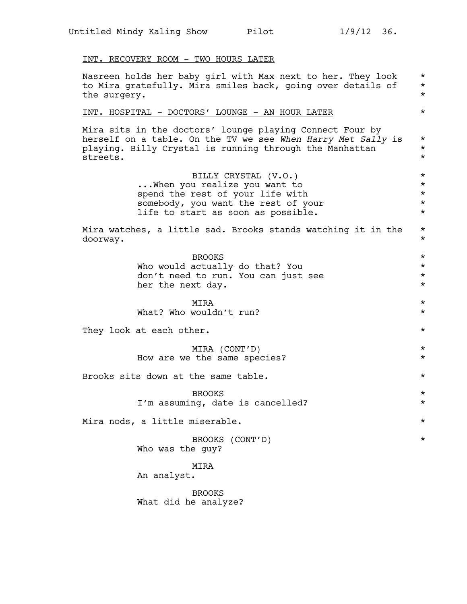# INT. RECOVERY ROOM - TWO HOURS LATER

Nasreen holds her baby girl with Max next to her. They look \* to Mira gratefully. Mira smiles back, going over details of  $*$ the surgery.  $\star$ INT. HOSPITAL - DOCTORS' LOUNGE - AN HOUR LATER \* Mira sits in the doctors' lounge playing Connect Four by herself on a table. On the TV we see *When Harry Met Sally* is \*<br>playing, Billy Crystal is running through the Manhattan \* playing. Billy Crystal is running through the Manhattan \* streets.  $\star$ BILLY CRYSTAL (V.O.) \* ...When you realize you want to \* spend the rest of your life with  $*$ somebody, you want the rest of your \* life to start as soon as possible.  $*$ Mira watches, a little sad. Brooks stands watching it in the  $*$ doorway. BROOKS  $\star$ Who would actually do that? You \* don't need to run. You can just see  $*$ <br>her the next day. her the next day. MIRA  $\qquad$   $\qquad$   $\qquad$   $\qquad$   $\qquad$   $\qquad$   $\qquad$   $\qquad$   $\qquad$   $\qquad$   $\qquad$   $\qquad$   $\qquad$   $\qquad$   $\qquad$   $\qquad$   $\qquad$   $\qquad$   $\qquad$   $\qquad$   $\qquad$   $\qquad$   $\qquad$   $\qquad$   $\qquad$   $\qquad$   $\qquad$   $\qquad$   $\qquad$   $\qquad$   $\qquad$   $\qquad$   $\qquad$   $\qquad$   $\qquad$   $\qquad$  What? Who wouldn't run? \* They look at each other.  $\star$ MIRA (CONT'D) \* How are we the same species?  $\star$ Brooks sits down at the same table.  $*$ BROOKS  $\star$ I'm assuming, date is cancelled? \* \* Mira nods, a little miserable.  $\star$ BROOKS (CONT'D) \* Who was the guy? MIRA An analyst. BROOKS What did he analyze?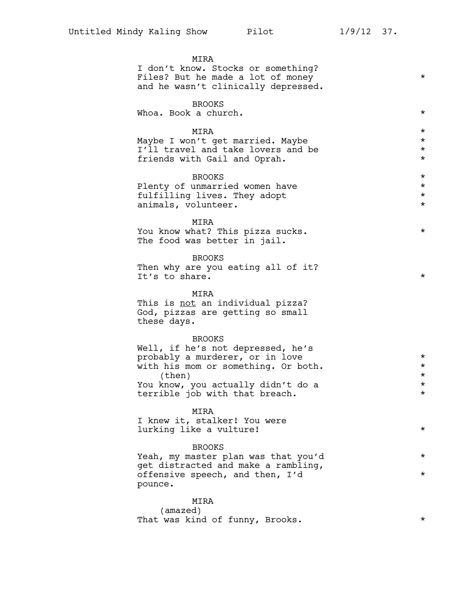**MTRA** I don't know. Stocks or something? Files? But he made a lot of money  $*$ and he wasn't clinically depressed. BROOKS Whoa. Book a church.  $\star$ MIRA  $\qquad$   $\qquad$   $\qquad$   $\qquad$   $\qquad$   $\qquad$   $\qquad$   $\qquad$   $\qquad$   $\qquad$   $\qquad$   $\qquad$   $\qquad$   $\qquad$   $\qquad$   $\qquad$   $\qquad$   $\qquad$   $\qquad$   $\qquad$   $\qquad$   $\qquad$   $\qquad$   $\qquad$   $\qquad$   $\qquad$   $\qquad$   $\qquad$   $\qquad$   $\qquad$   $\qquad$   $\qquad$   $\qquad$   $\qquad$   $\qquad$   $\qquad$  Maybe I won't get married. Maybe \* I'll travel and take lovers and be \* friends with Gail and Oprah.  $*$ BROOKS \* Plenty of unmarried women have fulfilling lives. They adopt \* animals, volunteer.  $\qquad \qquad \star$ MIRA You know what? This pizza sucks.  $*$ The food was better in jail. BROOKS Then why are you eating all of it? It's to share.  $\star$ MIRA This is not an individual pizza? God, pizzas are getting so small these days. BROOKS Well, if he's not depressed, he's probably a murderer, or in love  $\star$ <br>with his mom or something. Or both. with his mom or something. Or both.  $\times$ You know, you actually didn't do a  $*$ terrible job with that breach.  $*$ MIRA I knew it, stalker! You were lurking like a vulture!  $*$ BROOKS Yeah, my master plan was that you'd  $*$ get distracted and make a rambling, offensive speech, and then, I'd \* pounce. MIRA (amazed) That was kind of funny, Brooks.  $*$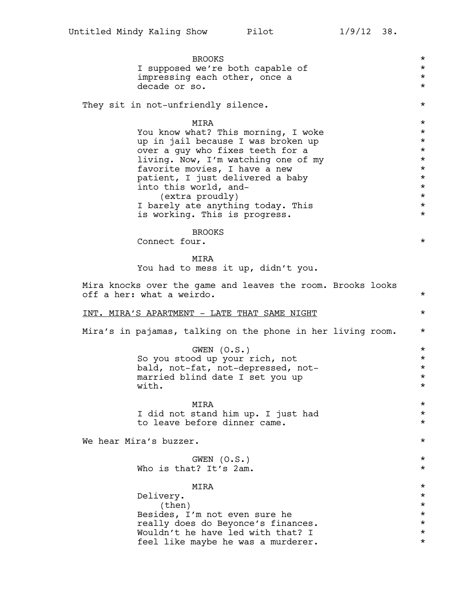|                                                      | <b>BROOKS</b>                                                                            | $^\star$             |  |  |
|------------------------------------------------------|------------------------------------------------------------------------------------------|----------------------|--|--|
|                                                      | I supposed we're both capable of                                                         | $^\star$             |  |  |
|                                                      | impressing each other, once a                                                            | $^\star$             |  |  |
|                                                      | decade or so.                                                                            | $^\star$             |  |  |
|                                                      |                                                                                          |                      |  |  |
|                                                      | They sit in not-unfriendly silence.                                                      | $^\star$             |  |  |
|                                                      |                                                                                          |                      |  |  |
|                                                      | MIRA                                                                                     | $^\star$             |  |  |
|                                                      | You know what? This morning, I woke                                                      | $^\star$             |  |  |
|                                                      | up in jail because I was broken up                                                       | $^\star$             |  |  |
|                                                      | over a guy who fixes teeth for a                                                         | $^\star$             |  |  |
|                                                      | living. Now, I'm watching one of my                                                      | $^\star$             |  |  |
|                                                      | favorite movies, I have a new                                                            | $^\star$             |  |  |
|                                                      | patient, I just delivered a baby                                                         | $^\star$             |  |  |
|                                                      | into this world, and-                                                                    | $^\star$             |  |  |
|                                                      | (extra proudly)                                                                          | $^\star$             |  |  |
|                                                      | I barely ate anything today. This                                                        | $^\star$             |  |  |
|                                                      | is working. This is progress.                                                            | $^\star$             |  |  |
|                                                      | <b>BROOKS</b>                                                                            |                      |  |  |
|                                                      | Connect four.                                                                            | $^\star$             |  |  |
|                                                      |                                                                                          |                      |  |  |
|                                                      | MIRA                                                                                     |                      |  |  |
|                                                      | You had to mess it up, didn't you.                                                       |                      |  |  |
|                                                      |                                                                                          |                      |  |  |
|                                                      | Mira knocks over the game and leaves the room. Brooks looks<br>off a her: what a weirdo. | $^\star$             |  |  |
| <u> INT. MIRA'S APARTMENT - LATE THAT SAME NIGHT</u> |                                                                                          |                      |  |  |
|                                                      | Mira's in pajamas, talking on the phone in her living room.                              | $^\star$             |  |  |
|                                                      | GWEN $(0.S.)$                                                                            | $^\star$             |  |  |
|                                                      | So you stood up your rich, not                                                           | $^\star$             |  |  |
|                                                      | bald, not-fat, not-depressed, not-                                                       | $^\star$             |  |  |
|                                                      | married blind date I set you up                                                          | $^\star$             |  |  |
|                                                      | with.                                                                                    | $^\star$             |  |  |
|                                                      |                                                                                          |                      |  |  |
|                                                      | MIRA                                                                                     | $^\star$             |  |  |
|                                                      | I did not stand him up. I just had                                                       | $^\star$             |  |  |
|                                                      | to leave before dinner came.                                                             | $^\star$             |  |  |
|                                                      |                                                                                          |                      |  |  |
|                                                      | We hear Mira's buzzer.                                                                   | $^\star$             |  |  |
|                                                      |                                                                                          |                      |  |  |
|                                                      | GWEN $(0.S.)$                                                                            | $^\star$             |  |  |
|                                                      | Who is that? It's 2am.                                                                   | $^\star$             |  |  |
|                                                      |                                                                                          |                      |  |  |
|                                                      | MIRA                                                                                     | $^\star$<br>$^\star$ |  |  |
|                                                      | Delivery.                                                                                | $^\star$             |  |  |
|                                                      | (then)<br>Besides, I'm not even sure he                                                  | $^\star$             |  |  |
|                                                      | really does do Beyonce's finances.                                                       | $^\star$             |  |  |
|                                                      | Wouldn't he have led with that? I                                                        | $^\star$             |  |  |
|                                                      | feel like maybe he was a murderer.                                                       | $^\star$             |  |  |
|                                                      |                                                                                          |                      |  |  |